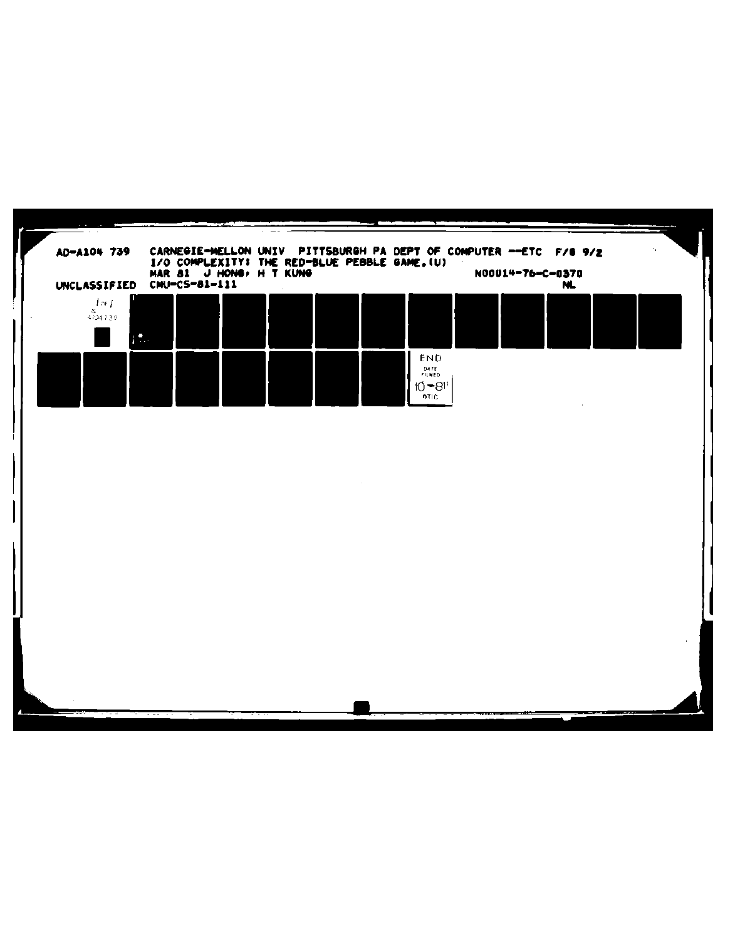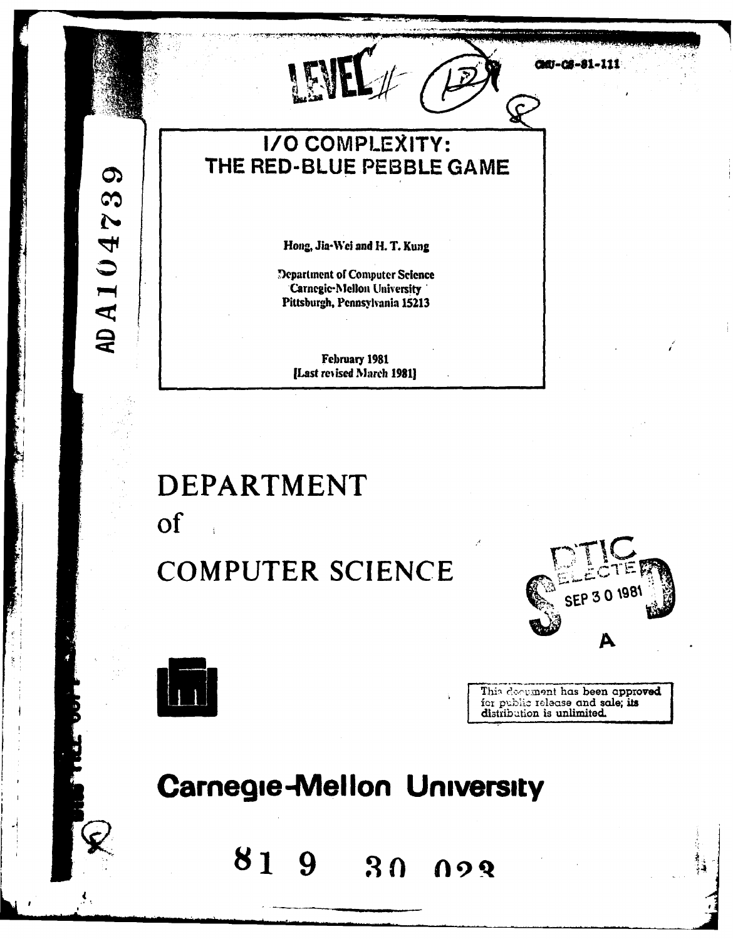00-08-81-111 LEN **I/O COMPLEXITY:** THE RED-BLUE PEBBLE GAME Hong, Jia-Wei and H. T. Kung Department of Computer Science **Carnegie-Mellon University** Pittsburgh, Pennsylvania 15213 February 1981 [Last revised March 1981]

## **DEPARTMENT** of

### **COMPUTER SCIENCE**





AD A 104739

This document has been approved for public release and sale; its distribution is unlimited.

### **Carnegie-Mellon University**

819 30 023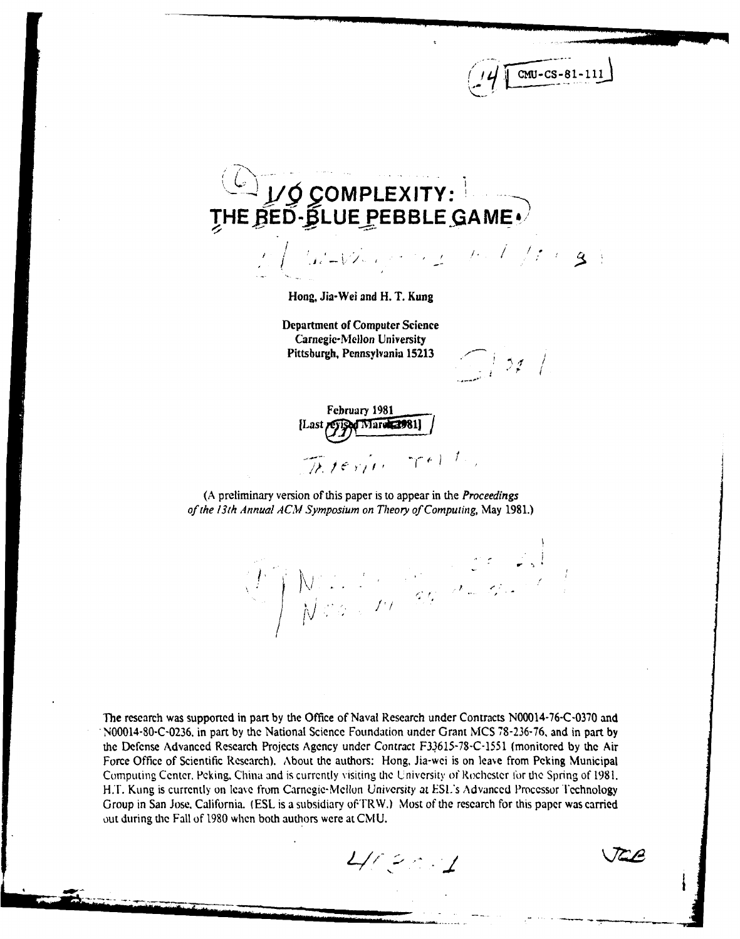# **Ji' OMPLEXITY: THE RED- LUE PEBBLE GAME'.** . **.,J - / , , / I,..**

Hong, Jia-Wei and H. T. Kung

Department of Computer Science Carnegie-Mellon University Pittsburgh, Pennsylvania **15213**

 $\sqrt{2}$  22 /

 $CMU - CS - 81 - 11$ 

February **1981** [Last **I Vised March 2981]** There rester

**(A** preliminary version of this paper is to appear in the *Proceedings of the 13th Annual* **ACM** Symposium *on Theory of Computing,* May **1981.)**

- **V**

The research was supported in part **by** the Office of Naval Research under Contracts **N00014-76-C-0370** and **N00014-80-C-0236.** in part **by** the National Science Foundation under Grant **MCS 78-236-76,** and in part **by the Defense** Advanced Research Projects Agency under Contract **F33.615-78-C-1551** (monitored **by** the Air Force Office of Scientific Research). About **the** authors: Hong, Jia-wei is on leave from Peking Municipal **Computing** Center. Peking, China and is currently visiting **the** University of Rochester 1br **the** Spring of **1981. H.r.** Kung is currently on leave from Carnegie-Mellon University at **ESL's** Advanced Processor Technology Group in San Jose, California. **(ESL** is a subsidiary of TRW.) Most of the research for this paper was carried out during **the** Fall of **1980** when both authors were at **CMU.**

**-II**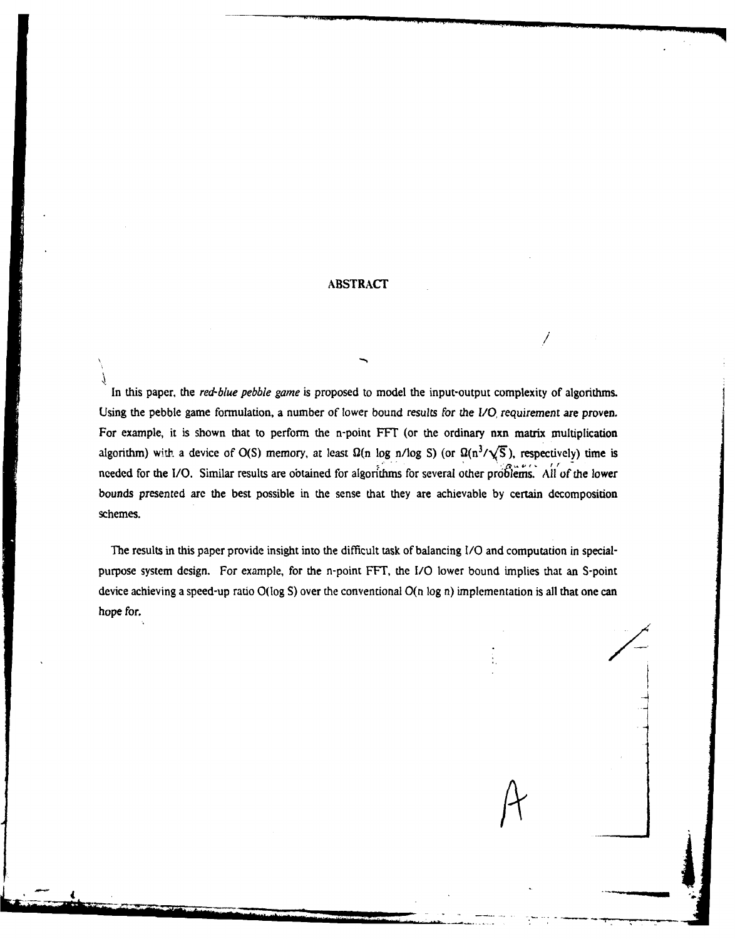**ABSTRACT**

*/*

A

In this paper, the *red-blue pebble game* is proposed to model the input-output complexity of algorithms. Using the pebble game formulation, a number of lower bound results *for the I/0* requirement *are* proven. For example, it is shown that to perform the n-point FFT (or the ordinary nxn matrix multiplication algorithm) with a device of O(S) memory, at least  $\Omega(n \log n / \log S)$  (or  $\Omega(n^3 / \sqrt{S})$ , respectively) time is **needed for the I/O. Similar results are obtained for algorithms for several other problems. All of the lower** bounds presented **are** the best possible in the sense that they are achievable **by** certain decomposition schemes.

The results in this paper provide insight into the difficult task of balancing **I/0** and computation in specialpurpose system design. For example, for the n-point FFT, the **1/0** lower bound implies that an S-point device achieving a speed-up ratio O(log S) over the conventional O(n log n) implementation is all that one can hope for.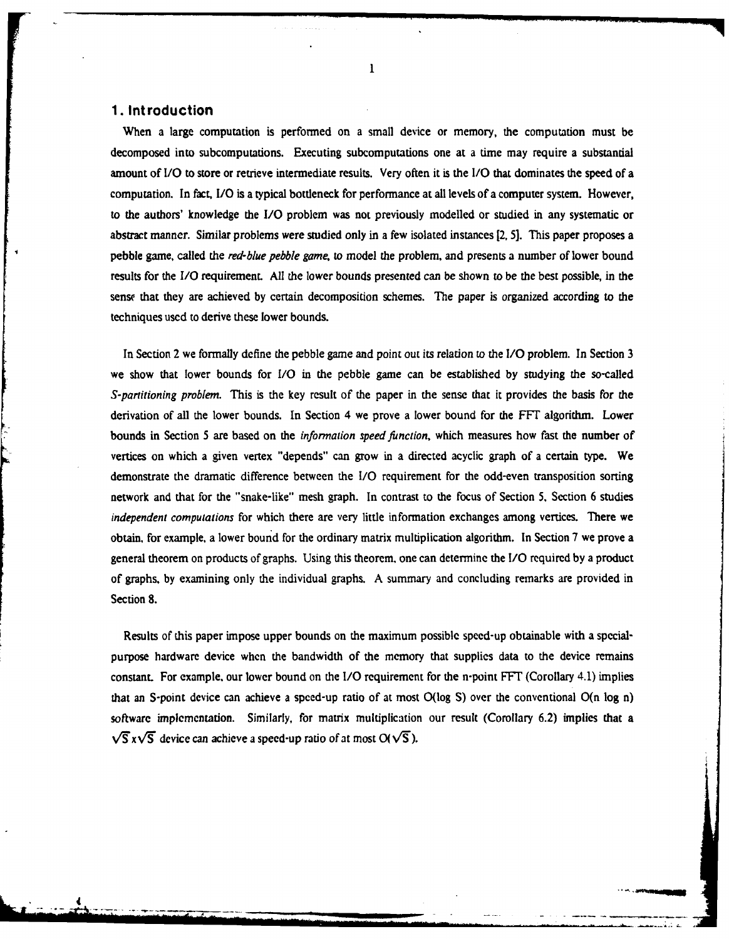#### **1. Introduction**

When a large computation is performed on a small device or memory, the computation must be decomposed into subcomputations. Executing subcomputations one at a time may require a substantial amount of **I/O** to store or retrieve intermediate results. Very often it is the **1/0** that dominates the speed of a computation. In fact, IO is a typical bottleneck for performance at all levels of a computer system. However, to the authors' knowledge the **I/O** problem was not previously modelled or studied in any systematic or abstract manner. Similar problems were studied only in a few isolated instances [2, **5].** This paper proposes a pebble game, called the red-blue *pebble game,* to model the problem, and presents a number of lower bound results for the **I/O** requirement. All the lower bounds presented can be shown to be the best possible, in the sense that they are achieved by certain decomposition schemes. The paper is organized according to the techniques used to derive these lower bounds.

In Section 2 we formally define the pebble game and point **out** its relation to the **I/O** problem. In Section 3 we show that lower bounds for *I/O* in the pebble game can be established **by** studying the so-called *S-partitioning problem.* This is the key result of the paper in the sense that it provides the basis for the derivation of all the lower bounds. In Section 4 we prove a lower bound for the FFT algorithm. Lower bounds in Section 5 are based on the *information speed function*, which measures how fast the number of vertices on which a given vertex "depends" can grow in a directed acyclic graph of a certain type. We demonstrate the dramatic difference between the *I/O* requirement for the odd-even transposition sorting network and that for the "snake-like" mesh graph. In contrast to the focus of Section **5,** Section 6 studies *independent computations* for which there are very little information exchanges among vertices. There we obtain, for example, a lower bound for the ordinary matrix multiplication algorithm. In Section 7 we prove a general theorem on products of graphs. Using this theorem, one can determine the *I/O* required by a product of graphs, by examining only the individual graphs. A summary and concluding remarks are provided in Section **8.**

Results of this paper impose upper bounds on the maximum possible speed-up obtainable with a specialpurpose hardware device when the bandwidth of the memory that supplies data to the device remains constant. For example, our lower bound on the *I/O* requirement for the n-point **FFT** (Corollary 4.1) implies that an S-point device can achieve a speed-up ratio of at most O(log **S)** over the conventional O(n log n) software implementation. Similarly, for matrix multiplication our result (Corollary **6.2)** implies that a  $\sqrt{S}$  x $\sqrt{S}$  device can achieve a speed-up ratio of at most O( $\sqrt{S}$ ).

4 **...** 

 $\mathbf{1}$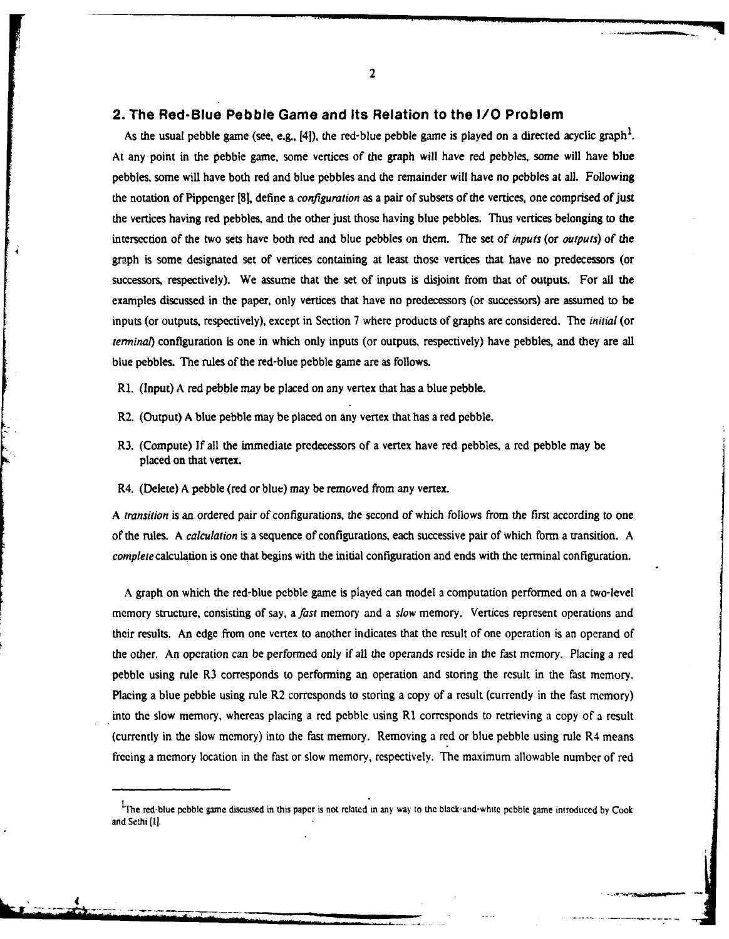#### **2. The Red-Blue Pebble Game and Its Relation to the** *I/0* **Problem**

As the usual pebble game (see, e.g., [4]), the red-blue pebble game is played on a directed acyclic graph<sup>1</sup>. At any point in the pebble game, some vertices of the graph will have red pebbles, some will have blue pebbles, some will have both red and blue pebbles and the remainder will have no pebbles at all. Following the notation of Pippenger **[81,** define a *configuration* as a pair of subsets of the vertices, one comprised of just the vertices having red pebbles, and the other just those having blue pebbles. Thus vertices belonging to **the** intersection of the two sets have both red and blue pebbles on them. The set of *inputs* (or *outputs) of the* graph is some designated set of vertices containing at least those vertices that have no predecessors (or successors, respectively). We assume that the set of inputs is disjoint from that of outputs. For all the examples discussed in the paper, only vertices that have no predecessors (or successors) are assumed to be inputs (or outputs, respectively), except in Section **7** where products of graphs are considered. The *initial* (or *terminal)* configuration is one in which only inputs (or outputs, respectively) have pebbles, and **they** are all blue pebbles. The rules of the red-blue pebble game are as follows.

**R1.** (Input) **A** red pebble may be placed on any vertex that has a blue pebble.

- R2. (Output) **A** blue pebble may be placed on any vertex that has a red pebble.
- R3. (Compute) If all the immediate predecessors of a vertex have red pebbles, a red pebble may **be** placed on that vertex.
- R4. (Delete) **A** pebble (red or blue) may be removed from any vertex.

*A transition* is an ordered pair of configurations, the second of which follows from the first according to one of the rules. **A** *calculation* is a sequence of configurations, each successive pair of which form a transition. A *complete* calculation is one that begins with the initial configuration and ends with the terminal configuration.

A graph on which the red-blue pebble game is played can model a computation performed on a two-level memory structure, consisting of say, a *fast* memory and a *slow* memory. Vertices represent operations and their results. An edge from one vertex to another indicates that the result of one operation is an operand of the other. An operation can be performed only if all the operands reside in the fast memory. Placing a red pebble using rule R3 corresponds to performing an operation and storing the result in the fast memory. Placing a blue pebble using rule R2 corresponds to storing a copy of a result (currently in the fast memory) into the slow memory, whereas placing a red pebble using R1 corresponds to retrieving a copy of a result (currently in the slow memory) into the fast memory. Removing a red or blue pebble using rule R4 means freeing a memory location in the fast or slow memory, respectively. The maximum allowable number of red

Lpne red-blue pebble game discussed in this paper is not related in any wa to **the** black-and-white **pebble** game introduced **by** Cook and Sethi **[1].**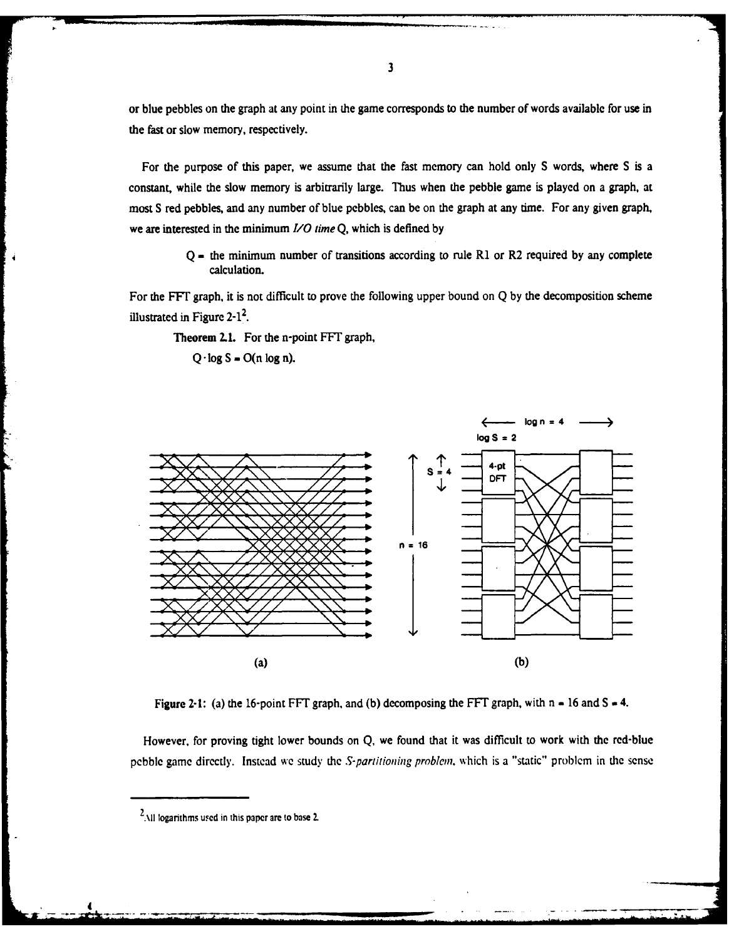or blue pebbles on the graph at any point in the game corresponds to the number of words available for use in the fast or slow memory, respectively.

For the purpose of this paper, we assume that the fast memory can hold only **S** words, where **S** is a constant, while the slow memory is arbitrarily large. Thus when the pebble game is played on a graph, at most **S** red pebbles, and any number of blue pebbles, can be on the graph at any time. For any given graph, we are interested in the minimum *I/0 time* **Q,** which is defined **by**

> **Q -** the minimum number of transitions according to rule R1 or R2 required **by** any complete calculation.

For the FFT graph, it is not difficult to prove the following upper bound on **Q by** the decomposition scheme illustrated in Figure  $2-1^2$ .

Theorem **2.1.** For the n-point **FFT** graph,

 $Q \cdot \log S$  **-**  $O(n \log n)$ .



**Figure 2-1:** (a) the 16-point FFT graph, and (b) decomposing the FFT graph, with  $n = 16$  and  $S = 4$ .

However, for **proving tight** lower bounds on Q, we found that **it** was difficult to work with the red-blue pcbble game directly. Instead we study **the** S-partitioning problem, which is a "static" problem in **the** sense

. . ..- .. .

<sup>2.\11</sup> **Iogarithms u. ed in this paper are to base 2.**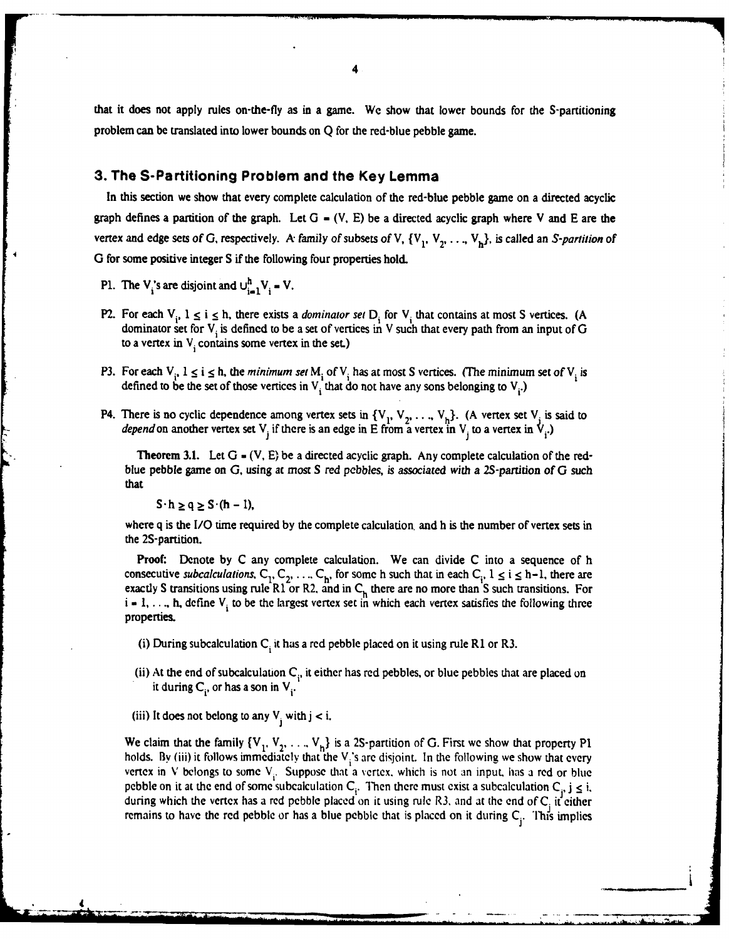that it does not apply rules on-the-fly as in a game. We show that lower bounds for the S-partitioning problem can be translated into lower bounds on **Q** for the red-blue pebble game.

#### **3. The S-Partitioning Problem and the Key Lemma**

In this section we show that every complete calculation of the red-blue pebble game on a directed acyclic graph defines a partition of the graph. Let **G -** (V, **E)** be a directed acyclic graph where V and **E** are the vertex and edge sets of G, respectively. A family of subsets of V,  $\{V_1, V_2, \ldots, V_k\}$ , is called an S-partition of 0 for some positive integer **S** if the following four properties hold.

- P1. The V<sub>i</sub>'s are disjoint and  $\bigcup_{i=1}^{h} V_i = V$ .
- P2. For each  $V_i$ ,  $1 \le i \le h$ , there exists a *dominator set*  $D_i$  for  $V_i$  that contains at most S vertices. (A dominator set for V<sub>i</sub> is defined to be a set of vertices in V such that every path from an input of G to a vertex in V<sub>i</sub> contains some vertex in the set.)
- P3. For each **Vi . 1 <** i **<** h, the minimum set M of V. has at most **S** vertices. (The minimum set of V is defined to be the set of those vertices in  $V_i$  that do not have any sons belonging to  $V_i$ .)
- P4. There is no cyclic dependence among vertex sets in  $\{V_1, V_2, \ldots, V_h\}$ . (A vertex set  $V_i$  is said to depend on another vertex set V<sub>i</sub> if there is an edge in E from a vertex in V<sub>i</sub> to a vertex in V<sub>i</sub>.) **.3 J1**

Theorem **3.1.** Let **G - (V, E)** be a directed acyclic graph. Any complete calculation of the redblue pebble game on **G,** using at most **S** red *pebbles, is* associated with a 2S-partizion of **G** such that

 $S \cdot h \geq q \geq S \cdot (h-1)$ ,

where **q** is the *I/O* time required **by** the complete calculation, and h is the number of vertex sets in the 2S-partition.

Proof: Denote **by C** any complete calculation. We can divide **C** into a sequence of h consecutive subcalculations,  $C_1, C_2, \ldots, C_h$ , for some h such that in each  $C_i$ ,  $1 \le i \le h-1$ , there are exactly S transitions using rule  $\overrightarrow{R1}$  or  $\overrightarrow{R2}$ , and in  $\overrightarrow{C}_h$  there are no more than S such transitions. For  $i - 1, \ldots, h$ , define  $V_i$  to be the largest vertex set in which each vertex satisfies the following three properties.

- (i) During subcalculation  $C_i$  it has a red pebble placed on it using rule R1 or R3.
- (ii) At the end of subcalculation C<sub>i</sub>, it either has red pebbles, or blue pebbles that are placed on it during  $C_i$ , or has a son in  $V_i$ .
- (iii) It does not belong to any  $V_i$  with  $j < i$ .

We claim that the family  $\{V_1, V_2, \ldots, V_h\}$  is a 2S-partition of G. First we show that property P1 holds. By (iii) it follows immediately that the V<sub>i</sub>'s are disjoint. In the following we show that every vertex in V belongs to some  $V_i$ . Suppose that a vertex, which is not an input, has a red or blue pebble on it at the end of some subcalculation  $C_i$ . Then there must exist a subcalculation  $C_j$ ,  $j \le i$ , during which the vertex has a red pebble placed on it using rule R3, and at the end of  $C_i$  it either remains to have the red pebble or has a blue pebble that is placed on it during  $C_i$ . This implies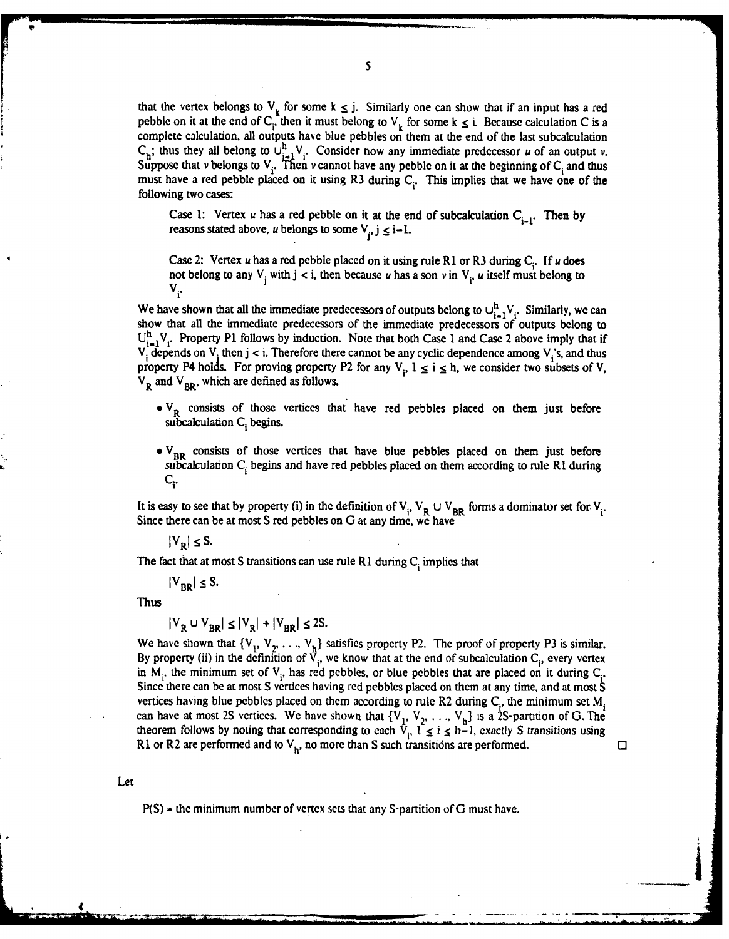that the vertex belongs to  $V_k$  for some  $k \leq j$ . Similarly one can show that if an input has a red pebble on it at the end of C<sub>i</sub>. then it must belong to  $V_k$  for some k  $\leq$  i. Because calculation C is a complete calculation, all outputs have blue pebbles on them at the end of the last subcalculation  $C_h$ ; thus they all belong to  $U_{i=1}^h V_i$ . Consider now any immediate predecessor u of an output v. Suppose that v belongs to  $V_i$ . Then v cannot have any pebble on it at the beginning of  $C_i$  and thus must have a red pebble placed on it using R3 during C<sub>i</sub>. This implies that we have one of the following two cases:

Case 1: Vertex u has a red pebble on it at the end of subcalculation  $C_{i-1}$ . Then by reasons stated above, u belongs to some  $V_i$ ,  $j \leq i-1$ .

Case 2: Vertex  $u$  has a red pebble placed on it using rule R1 or R3 during  $C_i$ . If  $u$  does not belong to any  $V_i$  with  $j < i$ , then because u has a son v in  $V_i$ , u itself must belong to **Vi.**

We have shown that all the immediate predecessors of outputs belong to  $\bigcup_{i=1}^{h} V_i$ . Similarly, we can show that all the immediate predecessors of the immediate predecessors of outputs belong to  $U_{i-1}^n V_i$ . Property P1 follows by induction. Note that both Case 1 and Case 2 above imply that if V<sub>i</sub> depends on V<sub>i</sub> then j < i. Therefore there cannot be any cyclic dependence among V<sub>i</sub>'s, and thus property P4 holds. For proving property P2 for any  $V_i$ ,  $1 \le i \le h$ , we consider two subsets of V,  $V_{R}$  and  $V_{R}$ , which are defined as follows.

- V<sub>R</sub> consists of those vertices that have red pebbles placed on them just before subcalculation C<sub>i</sub> begins.
- V<sub>BR</sub> consists of those vertices that have blue pebbles placed on them just before subcalculation C<sub>i</sub> begins and have red pebbles placed on them according to rule R1 during **Ci.**

It is easy to see that by property (i) in the definition of  $V_i$ ,  $V_R \cup V_{BR}$  forms a dominator set for  $V_i$ . Since there can be at most S red pebbles on G at any time, we have

 $|V_R| \leq S$ .

The fact that at most S transitions can use rule R1 during C<sub>i</sub> implies that

 $|V_{BR}| \leq S$ .

Thus

$$
|V_{\mathbf{p}} \cup V_{\mathbf{p}\mathbf{p}}| \le |V_{\mathbf{p}}| + |V_{\mathbf{p}\mathbf{p}}| \le 2S.
$$

We have shown that  $\{V_1, V_2, \ldots, V_k\}$  satisfies property P2. The proof of property P3 is similar. **By** property (ii) in the definition of V,, we know that at the end of subcalculation **Ci,** every vertex in  $M_i$ , the minimum set of  $V_i$ , has red pebbles, or blue pebbles that are placed on it during  $C_i$ . Since there can be at most **S** vertices having red pebbles placed on them at any time, and at most S vertices having blue pebbles placed on them according to rule R2 during C<sub>i</sub>, the minimum set M<sub>i</sub> can have at most 2S vertices. We have shown that  $\{V_1, V_2, \ldots, V_h\}$  is a 2S-partition of G. The theorem follows by noting that corresponding to each  $\hat{V}_i$ ,  $\hat{I} \le i \le h-1$ , exactly S transitions using R1 or R2 are performed and to  $V_h$ , no more than S such transitions are performed.  $\Box$ 

Alistanti<br>Alistantino del Partido<br>Alistantino del Partido

Let

P(S) **-** the minimum number of vertex sets that any S-partition of **G** must have.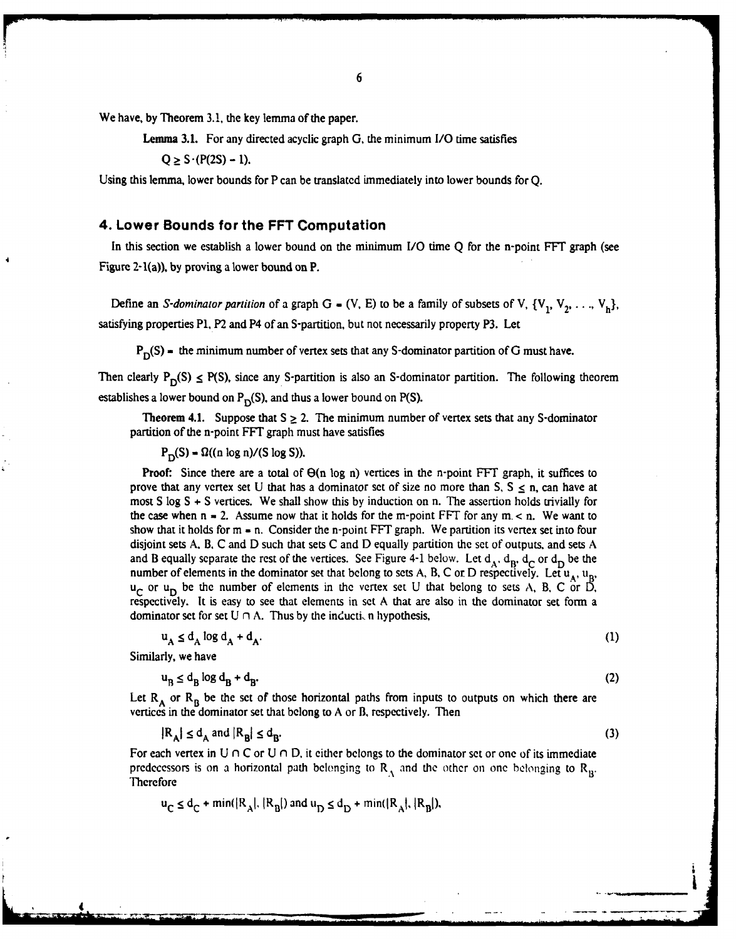We have, **by** Theorem 3.1, the key lemma of the paper.

Lemma **3.1.** For any directed acyclic graph G, the minimum 1/0 time satisfies

 $Q > S \cdot (P(2S) - 1)$ .

Using this lemma, lower bounds for P can be translated immediately into lower bounds for **Q.**

#### **4. Lower Bounds for the FFT Computation**

In this section we establish a lower bound on the minimum *I/O* time **Q** for the n-point **FFT** graph (see Figure 2-1(a)), **by** proving a lower bound on P.

Define an *S-dominator partition* of a graph G =  $(V, E)$  to be a family of subsets of V,  $\{V_1, V_2, \ldots, V_h\}$ , satisfying properties P1, P2 and P4 of an S-partition, but not necessarily property P3. Let

 $P_D(S)$  = the minimum number of vertex sets that any S-dominator partition of G must have.

Then clearly  $P_D(S) \le P(S)$ , since any S-partition is also an S-dominator partition. The following theorem establishes a lower bound on  $P_D(S)$ , and thus a lower bound on **P(S)**.

**Theorem 4.1.** Suppose that  $S \geq 2$ . The minimum number of vertex sets that any S-dominator partition of the n-point FFT graph must have satisfies

 $P_D(S) = \Omega((n \log n)/(S \log S)).$ 

**Proof:** Since there are a total of  $\Theta(n \log n)$  vertices in the n-point FFT graph, it suffices to prove that any vertex set U that has a dominator set of size no more than  $S, S \le n$ , can have at most S log S **+** S vertices. We shall show this by induction on n. The assertion holds trivially for the case when  $n = 2$ . Assume now that it holds for the m-point FFT for any  $m < n$ . We want to show that it holds for m *=* n. Consider the n-point FFT graph. We partition its vertex set into four disjoint sets A. B, C and D such that sets C and D equally partition the set of outputs, and sets A and B equally separate the rest of the vertices. See Figure 4-1 below. Let  $d_A$ ,  $d_B$ ,  $d_C$  or  $d_D$  be the number of elements in the dominator set that belong to sets A, B, C or D respectively. Let  $u_A$ ,  $u_B$  $u_C$  or  $u_D$  be the number of elements in the vertex set U that belong to sets A, B, C or D, respectively. It is easy to see that elements in set A that are also in the dominator set form a **dominator set for set**  $U \cap A$ **. Thus by the induction hypothesis,** 

$$
u_A \le d_A \log d_A + d_A. \tag{1}
$$

Similarly, we have

 $u_B \leq d_B \log d_B + d_B.$  (2)

Let  $R_A$  or  $R_B$  be the set of those horizontal paths from inputs to outputs on which there are vertices in the dominator set that belong to A or B, respectively. Then

 $|R_A| \le d_A$  and  $|R_B| \le d_B$ . (3)

For each vertex in  $U \cap C$  or  $U \cap D$ , it either belongs to the dominator set or one of its immediate predecessors is on a horizontal path belonging to  $R_A$  and the other on one belonging to  $R_B$ . Thcrefore

$$
u_C \le d_C + \min(|R_A|, |R_B|)
$$
 and  $u_D \le d_D + \min(|R_A|, |R_B|)$ ,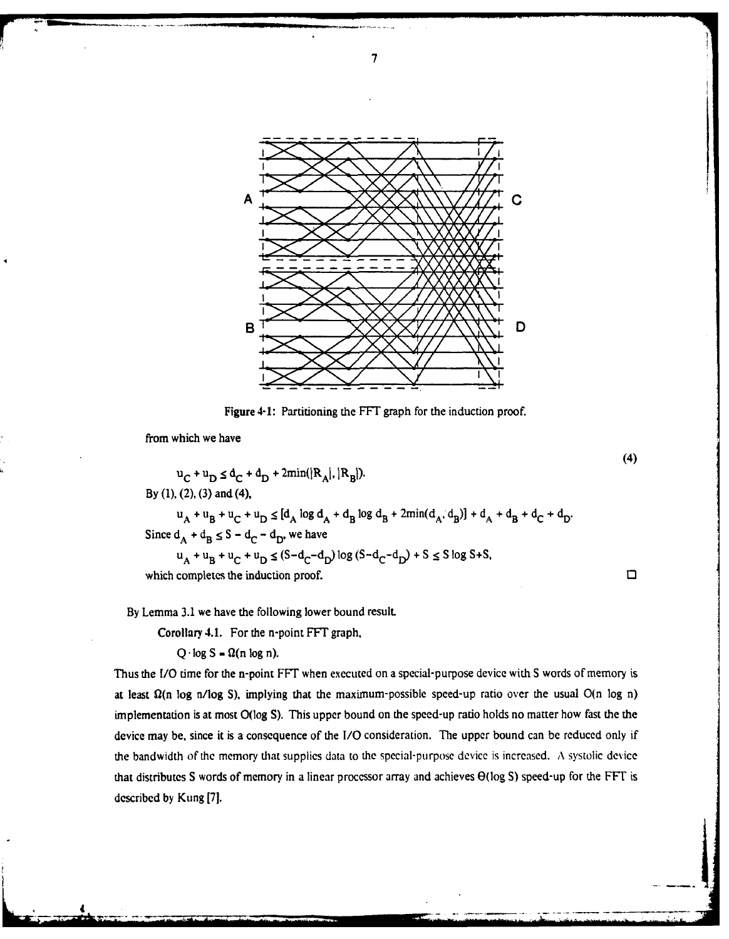

**7**

Figure 4-1: Partitioning the FFT graph for the induction proof.

(4)

 $\mathcal{L}_\text{max}$  and  $\mathcal{L}_\text{max}$  and  $\mathcal{L}_\text{max}$  and  $\mathcal{L}_\text{max}$ 

from which we have

 $u_C + u_D \leq d_C + d_D + 2min(|R_A|, |R_B|).$ By (1), (2), (3) and (4),  $\mathbf{u}_A + \mathbf{u}_B + \mathbf{u}_C + \mathbf{u}_D \leq [d_A \log d_A + d_B \log d_B + 2min(d_A, d_B)] + d_A + d_B + d_C + d_D.$ Since  $d_A + d_B \leq S - d_C - d_D$ , we have  $u_A + u_B + u_C + u_D \le (S - d_C - d_D) \log (S - d_C - d_D) + S \le S \log S + S$ which completes the induction proof.  $\square$ 

By Lemma 3.1 we have the following lower bound result.

**Corollary** 4.1. For the n-point **FFT** graph,

 $Q \cdot \log S = \Omega(n \log n)$ .

Thus the *1/O* time for the n-point FFT when executed on a special-purpose device with **S** words of memory is at least  $\Omega(n \log n / \log S)$ , implying that the maximum-possible speed-up ratio over the usual  $O(n \log n)$ implementation is at most O(log **S).** This upper bound on the speed-up ratio holds no matter how fast the the device may be, since it is a consequence of the *I/O* consideration. The upper bound can **be** reduced only if the bandwidth of the memory that supplies data to the special-purpose device is increased. A systolic device that distributes S words of memory in a linear processor array and achieves O(log **S)** speed-up for the FFT is described **by** Kung **[7].**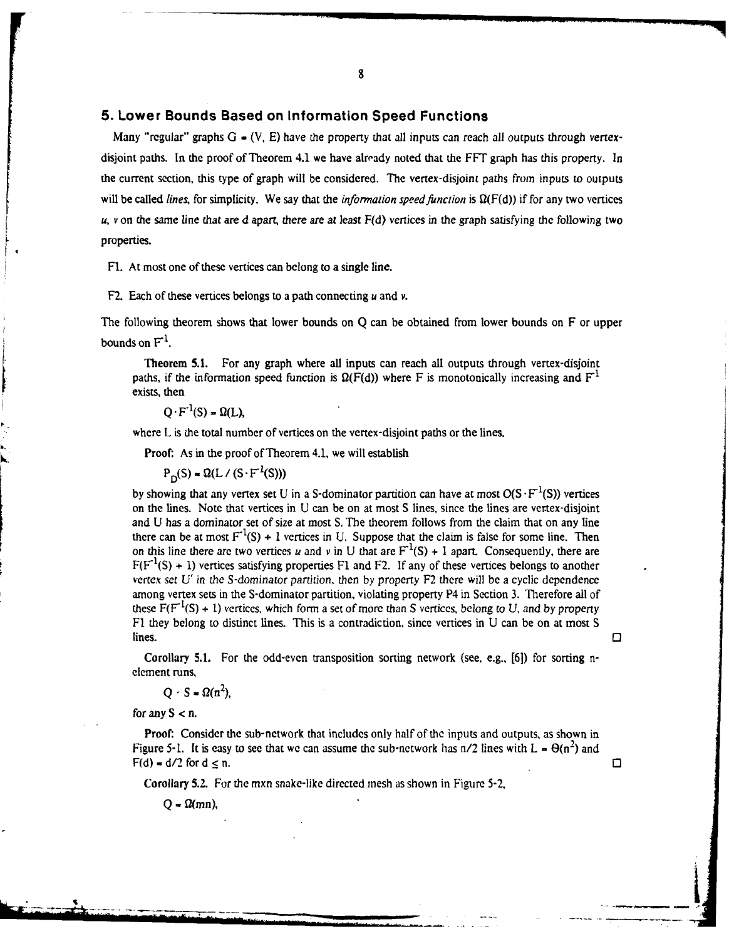#### **5. Lower Bounds Based on Information Speed Functions**

Many "regular" graphs  $G = (V, E)$  have the property that all inputs can reach all outputs through vertexdisjoint paths. In the proof of Theorem 4.1 we have already noted that the FFT graph has this property. In the current section, this type of graph will be considered. The vertex-disjoint paths from inputs to outputs will be called *lines*, for simplicity. We say that the *information speed function* is  $\Omega(F(d))$  if for any two vertices *u, v* on the same line that are d apart, there *are* at least F(d) vertices in the graph satisfying the following two properties.

Fl. At most one of these vertices can belong to a single line.

F2. Each of these vertices belongs to a path connecting *u* and v.

The following theorem shows that lower bounds on Q can be obtained from lower bounds on F or upper bounds on **F'.**

Theorem **5.1.** For any graph where all inputs can reach all outputs through vertex-disjoint paths, if the information speed function is  $\Omega(F(d))$  where F is monotonically increasing and  $F<sup>1</sup>$ exists, then

#### $Q \cdot F^{-1}(S) = \Omega(L)$

where L is the total number of vertices on the vertex-disjoint paths or the lines.

Proof: As in the proof of Theorem 4.1, we will establish

 $P_D(S) = \Omega(L / (S \cdot F^{-1}(S)))$ 

by showing that any vertex set U in a S-dominator partition can have at most  $O(S \cdot F^{-1}(S))$  vertices on the lines. Note that vertices in U can be on at most S lines, since the lines are vertex-disjoint and U has a dominator set of size at most S. The theorem follows from the claim that on any line there can be at most  $F^{-1}(S) + 1$  vertices in U. Suppose that the claim is false for some line. Then on this line there are two vertices *u* and *v* in U that are  $F^{-1}(S) + 1$  apart. Consequently, there are  $F(F<sup>-1</sup>(S) + 1)$  vertices satisfying properties F1 and F2. If any of these vertices belongs to another vertex set *U'* in *the S-dominator* partition, then by property F2 there will be a cyclic dependence among vertex sets in the S-dominator partition, violating property P4 in Section 3. Therefore all of these  $F(F<sup>-1</sup>(S) + 1)$  vertices, which form a set of more than S vertices, belong to U, and by property F1 they belong to distinct lines. This is a contradiction, since vertices in U can be on at most S lines. **The contract of the contract of the contract of the contract of the contract of the contract of the contract of the contract of the contract of the contract of the contract of the contract of the contract of the co** 

Corollary 5.1. For the odd-even transposition sorting network (see, e.g., **[61)** for sorting nelement runs,

 $Q \cdot S = \Omega(n^2)$ ,

for any  $S < n$ .

Proof: Consider the sub-network that includes only half of the inputs and outputs, as shown in Figure 5-1. It is easy to see that we can assume the sub-network has  $n/2$  lines with  $L = \Theta(n^2)$  and  $F(d) = d/2$  for  $d \le n$ .

**Corollary 5.2.** For the mxn snake-like directed mesh as shown in Figure 5-2,

 $Q = \Omega(mn)$ ,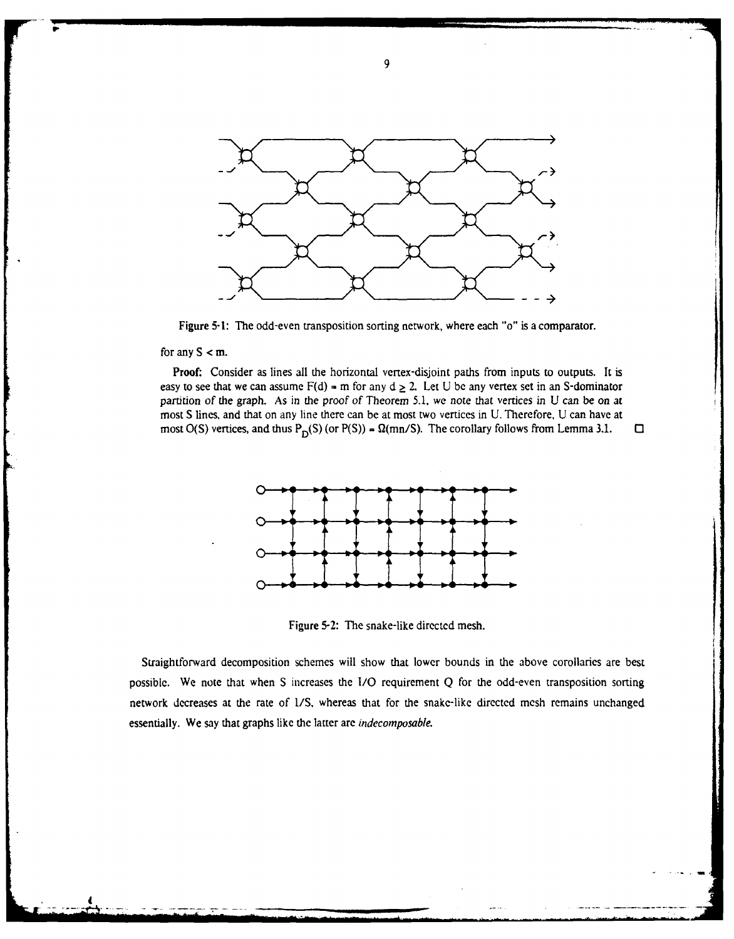

Figure 5-1: The odd-even transposition sorting network, where each "o" is a comparator.

for any  $S < m$ .

Proof: Consider as lines all the horizontal vertex-disjoint paths from inputs to outputs. **It** is easy to see that we can assume  $F(d) = m$  for any  $d \ge 2$ . Let U be any vertex set in an S-dominator partition of the graph. As in the proof of Theorem 5.1, we note that vertices in U can be on at most S lines, and that on any line there can be at most two vertices in U. Therefore, U can have at most O(S) vertices, and thus  $P_p(S)$  (or  $P(S)$ ) =  $\Omega(mn/S)$ . The corollary follows from Lemma 3.1.  $\Box$ 



Figure 5-2: The snake-like directed mesh.

Straightforward decomposition schemes will show that lower bounds in the above corollaries are best possible. We note that when S increases the **1/0** requirement Q for the odd-even transposition sorting network decreases at the rate of **US,** whereas that for the snake-like directed mesh remains unchanged essentially. We say that graphs like the latter are indecomposable.

**9.**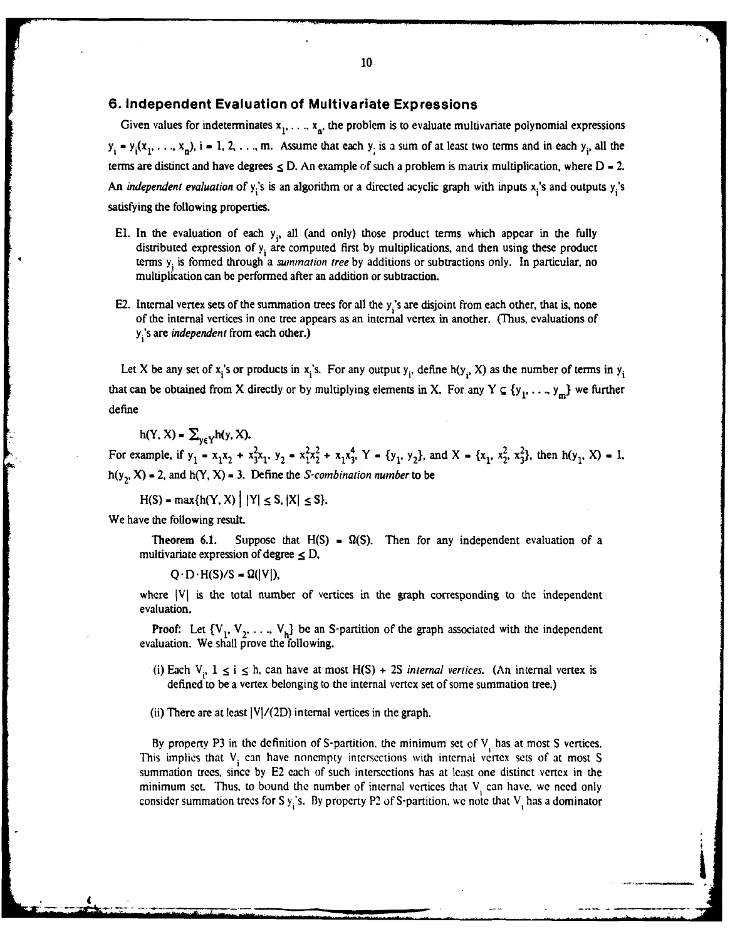#### **6. Independent Evaluation of Multivariate Expressions**

Given values for indeterminates  $x_1, \ldots, x_n$ , the problem is to evaluate multivariate polynomial expressions  $y_i = y_i(x_1, \ldots, x_n)$ ,  $i = 1, 2, \ldots, m$ . Assume that each  $y_i$  is a sum of at least two terms and in each  $y_i$ , all the terms are distinct and have degrees  $\leq$  D. An example of such a problem is matrix multiplication, where  $D = 2$ . An *independent evaluation* of y<sub>i</sub>'s is an algorithm or a directed acyclic graph with inputs x<sub>i</sub>'s and outputs y<sub>i</sub>'s satisfying the following properties.

- El. In the evaluation of each  $y_i$ , all (and only) those product terms which appear in the fully distributed expression of **yi** are computed first by multiplications, and then using these product terms **Yi** is formed through a summation *tree* by additions or subtractions only. In particular, no multiplication can be performed after an addition or subtraction.
- E2. Internal vertex sets of the summation trees for all the y<sub>i</sub>'s are disjoint from each other, that is, none of the internal vertices in one tree appears as an internal vertex in another. (Thus, evaluations of **y** 's are *independent* from each other.)

Let X be any set of x<sub>i</sub>'s or products in x<sub>i</sub>'s. For any output  $y_i$ , define h(y<sub>i</sub>, X) as the number of terms in  $y_i$ that can be obtained from X directly or by multiplying elements in X. For any Y  $\subseteq \{y_1, \ldots, y_m\}$  we further define

 $h(Y, X) = \sum_{y \in Y} h(y, X).$ 

For example, if  $y_1 = x_1x_2 + x_1^2x_1$ ,  $y_2 = x_1^2x_2^2 + x_1x_1^4$ ,  $Y = \{y_1, y_2\}$ , and  $X = \{x_1, x_2^2, x_1^2\}$ , then  $h(y_1, X) = 1$ .  $h(y_2, X) = 2$ , and  $h(Y, X) = 3$ . Define the *S-combination number* to be

 $H(S) = max\{h(Y, X) | |Y| \le S, |X| \le S\}.$ 

We have the following result.

**4 \_\_WON**

**Theorem 6.1.** Suppose that  $H(S) = \Omega(S)$ . Then for any independent evaluation of a multivariate expression of degree  $\leq$  D,

 $Q \cdot D \cdot H(S)/S = \Omega(|V|)$ ,

where **IVI** is the total number of vertices in the graph corresponding to the independent evaluation.

**Proof:** Let  $\{V_1, V_2, \ldots, V_h\}$  be an S-partition of the graph associated with the independent evaluation. We shall prove the following.

(i) Each  $V_i$ ,  $1 \le i \le h$ , can have at most  $H(S) + 2S$  *internal vertices.* (An internal vertex is defined to be a vertex belonging to the internal vertex set of some summation tree.)

(ii) There are at least  $|V|/(2D)$  internal vertices in the graph.

By property P3 in the definition of S-partition, the minimum set of  $V_i$  has at most S vertices. This implies that  $V_i$  can have nonempty intersections with internal vertex sets of at most S summation trees, since **by E2** each of such intersections has at **least** one distinct vertex in the minimum set. Thus, to bound the number of internal vertices that  $V_i$  can have, we need only consider summation trees for S  $y_i$ 's. By property P2 of S-partition, we note that  $V_i$  has a dominator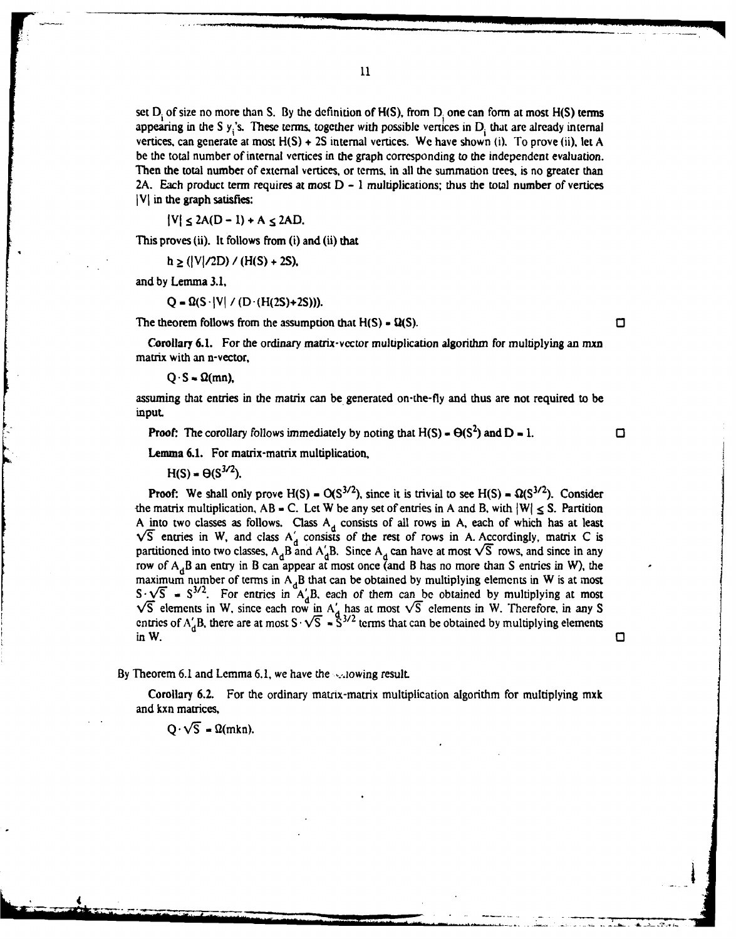set **Di** of size no more than **S. By** the definition of **H(S),** from **Di** one can form at most **H(S)** terms appearing in the S y<sub>1</sub>'s. These terms, together with possible vertices in D<sub>i</sub> that are already internal vertices, can generate at most **H(S) + 2S** internal vertices. We have shown (i). To prove (ii), let **A** be the total number of internal vertices in the graph corresponding to the independent evaluation. Then the total number of external vertices, or terms, in all the summation trees, is no greater than

**2A.** Each product term requires at most **D** - **1** multiplications; thus the total number of vertices

 $|V| \leq 2A(D - 1) + A \leq 2AD$ .

This proves (ii). **It follows** from (i) and (ii) that

 $h \geq (|V|/2D) / (H(S) + 2S),$ 

and by Lemma 3.1,

**VI** in the graph satisfies:

 $Q = \Omega(S \cdot |V| / (D \cdot (H(2S) + 2S))).$ 

The theorem follows from the assumption that  $H(S) = \Omega(S)$ .

Corollary **6.1.** For the ordinary matrix-vcctor multiplication algorithm for multiplying an mxn matrix with an n-vector,

 $Q \cdot S = \Omega(mn)$ ,

assuming that entries in the matrix can be generated on-the-fly and thus are not required to be input.

**Proof:** The corollary follows immediately by noting that  $H(S) = \Theta(S^2)$  and  $D = 1$ .

о

#### Lemma **6.1.** For matrix-matrix multiplication,

 $H(S) = \Theta(S^{3/2}).$ 

**Proof:** We shall only prove  $H(S) = O(S^{3/2})$ , since it is trivial to see  $H(S) = \Omega(S^{3/2})$ . Consider the matrix multiplication,  $AB = C$ . Let W be any set of entries in A and B, with  $|W| \leq S$ . Partition A into two classes as follows. Class A<sub>d</sub> consists of all rows in A, each of which has at least  $\sqrt{5}$  entries in W, and class  $A'_{d}$  consists of the rest of rows in A. Accordingly, matrix C is partitioned into two classes, A<sub>d</sub>B and A $'_{A}$ B. Since A<sub>d</sub> can have at most  $\sqrt{S}$  rows, and since in any row of A<sub>d</sub>B an entry in B can appear at most once (and B has no more than S entries in W), the maximum number of terms in  $A_d$ B that can be obtained by multiplying elements in W is at most  $S \cdot \sqrt{S} = S^{3/2}$ . For entries in A'B, each of them can be obtained by multiplying at most  $\sqrt{5}$  elements in W, since each row in A' has at most  $\sqrt{5}$  elements in W. Therefore, in any S entries of  $A'_A B$ , there are at most  $S \cdot \sqrt{S} = \tilde{S}^{3/2}$  terms that can be obtained by multiplying elements inW. **d**

By Theorem 6.1 and Lemma 6.1, we have the  $\sim$ -lowing result.

Corollary 6.2. For the ordinary matrix-matrix multiplication algorithm for multiplying mxk and kxn matrices,

\* "T' 4 " , ... .\_ L \_ . .

 $Q \cdot \sqrt{S}$  =  $\Omega(mkn)$ .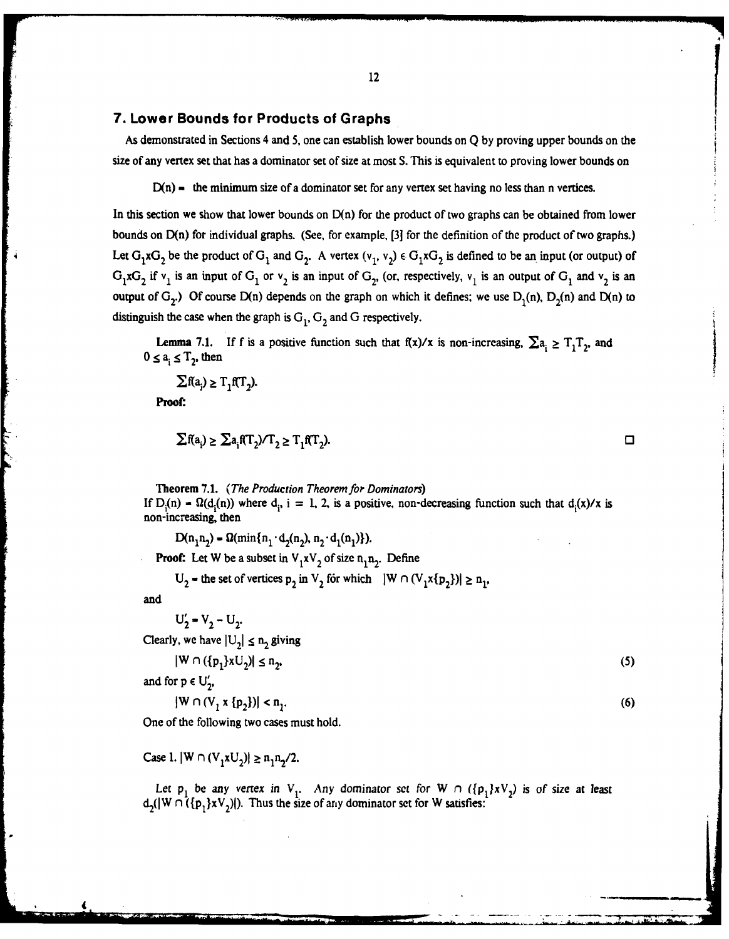#### **7.** Lower Bounds for Products of Graphs

As demonstrated in Sections 4 and **5,** one can establish lower bounds on **Q by** proving upper bounds on the size of any vertex set that has a dominator set of size at most **S.** This is equivalent to proving lower bounds on

D(n) = the minimum size of a dominator set for any vertex set having no less than n vertices.

In this section we show that lower bounds on  $D(n)$  for the product of two graphs can be obtained from lower bounds on D(n) for individual graphs. (See, for example, **[3]** for the definition of the product of two graphs.) Let  $G_1 \times G_2$  be the product of  $G_1$  and  $G_2$ . A vertex  $(v_1, v_2) \in G_1 \times G_2$  is defined to be an input (or output) of  $G_1 \times G_2$  if  $v_1$  is an input of  $G_1$  or  $v_2$  is an input of  $G_2$ , (or, respectively,  $v_1$  is an output of  $G_1$  and  $v_2$  is an output of  $G_2$ .) Of course D(n) depends on the graph on which it defines: we use  $D_1(n)$ ,  $D_2(n)$  and  $D(n)$  to distinguish the case when the graph is  $G_1$ ,  $G_2$  and  $G$  respectively.

**Lemma 7.1.** If f is a positive function such that  $f(x)/x$  is non-increasing,  $\sum a_i \geq T_1T_2$ , and  $0 \le a_i \le T_2$ , then

 $\sum f(a_i) \geq T, f(T)$ .

Proof:

$$
\sum f(a_i) \ge \sum a_i f(T_2) / T_2 \ge T_1 f(T_2).
$$

Theorem **7.1.** *(The Production Theorem for Dominators)* If  $D_i(n) = \Omega(d_i(n))$  where  $d_i$ ,  $i = 1, 2$ , is a positive, non-decreasing function such that  $d_i(x)/x$  is non-increasing, then

 $D(n_1n_2) = \Omega(\min\{n_1 \cdot d_2(n_2), n_2 \cdot d_1(n_1)\}).$ **Proof:** Let W be a subset in  $V_1xV_2$  of size  $n_1n_2$ . Define

 $U_2$  = the set of vertices  $p_2$  in  $V_2$  for which  $|W \cap (V_1 \times \{p_2\})| \ge n_1$ ,

and

 $U'_2 = V_2 - U_2.$ <br>Clearly, we have  $|U_2| \le n_2$  giving

 $|W \cap ({p_1}xU_2)| \le n_2,$  (5)

and for  $p \in U'_2$ ,

$$
|W \cap (V_1 \times \{p_2\})| < n_1. \tag{6}
$$

One of the following two cases must hold.

Case 1.  $|W \cap (V_1xU_2)| \ge n_1n_2/2$ .

Let  $p_1$  be any vertex in  $V_1$ . Any dominator set for  $W \cap (\{p_1\}XV_2)$  is of size at least  $d_2(|W \cap (\{p_1\}xV_2)|)$ . Thus the size of any dominator set for W satisfies: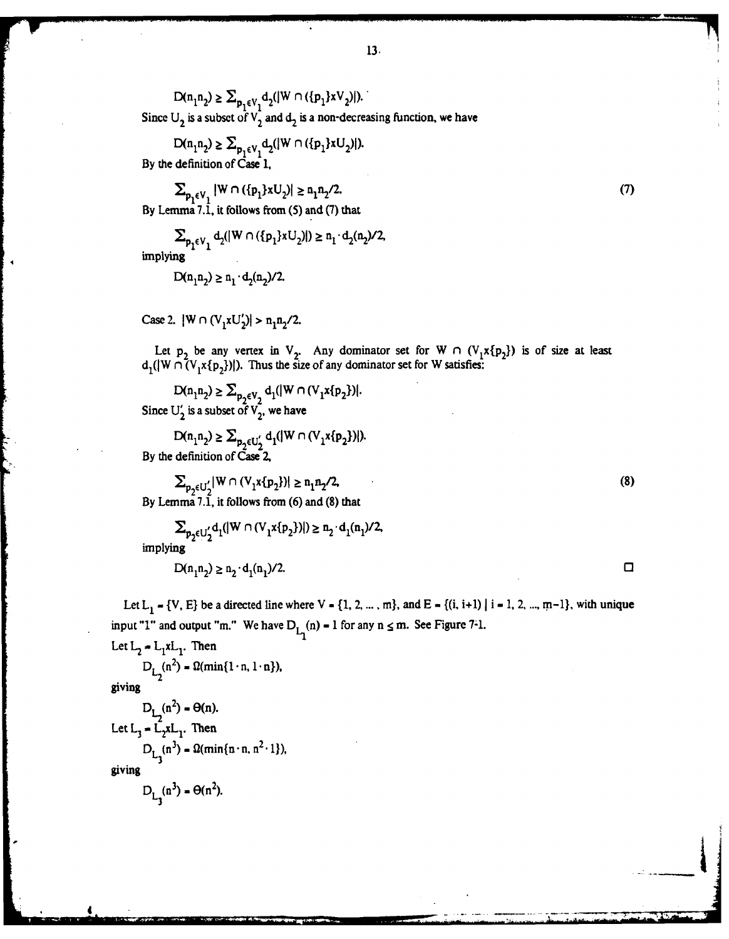$\mathsf{D}(\mathbf{n}_1\mathbf{n}_2) \geq \sum_{\mathbf{p}_1\in \mathbb{V}_1} \mathsf{d}_2(|\mathbb{W}\cap (\{\mathbf{p}_1\} \mathsf{x} \mathsf{V}_2)|).$ Since  $U_2$  is a subset of  $V_2$  and  $d_2$  is a non-decreasing function, we have

 $\mathsf{D}(\mathsf{n}_1\mathsf{n}_2) \geq \sum_{\mathsf{p}_1 \in \mathsf{V}_1} \mathsf{d}_2(|\mathsf{W} \cap (\{\mathsf{p}_1\} \mathsf{x} \mathsf{U}_2)|).$ 

**By** the definition of Case **1.**

 $\sum_{p_1 \in V_1} |W \cap (\{p_1\} \times U_2)| \ge n_1 n_2 / 2.$  (7) **By** Lemmna **7.1,** it follows from **(5)** and **(7)** that

 $\sum_{\mathbf{p}_1 \in \mathbf{V}_1} \mathbf{d}_2(|\mathbf{W} \cap (\{\mathbf{p}_1\} \mathbf{x} \mathbf{U}_2)|) \geq \mathbf{n}_1 \cdot \mathbf{d}_2(\mathbf{n}_2) / 2,$ 

implying

$$
D(n_1 n_2) \ge n_1 \cdot d_2(n_2)/2.
$$

Case 2.  $|W \cap (V_1xU_2')| > n_1n_2/2$ .

Let  $p_2$  be any vertex in  $V_2$ . Any dominator set for W  $\cap$   $(V_1x\{p_2\})$  is of size at least  $d_1(|W \cap (V_1 \times \{p_2\})|)$ . Thus the size of any dominator set for W satisfies:

 $D(n_1 n_2) \ge \sum_{p_1 \in V_2} d_1 (|W \cap (V_1 x\{p_2\}))$ Since  $\mathrm{U}_2'$  is a subset of  $\mathrm{V}_2^{}$ , we have

$$
D(n_1n_2) \ge \sum_{p_2 \in U_2'} d_1(|W \cap (V_1x\{p_2\})|).
$$
  
By the definition of Case 2,

 $\sum_{p_2 \in U_2'} |W \cap (V_1 x \{p_2\})| \ge n_1 n_2 / 2,$  (8) **By** Lemma **7.1,** it follows from **(6)** and **(8)** that

$$
\sum_{p_2 \in U'_2} d_1(|W \cap (V_1 x\{p_2\})|) \ge n_2 \cdot d_1(n_1)/2,
$$
  
implying  

$$
D(n_1 n_2) \ge n_2 \cdot d_1(n_1)/2.
$$

Let  $L_1$  = {V,  $E$ } be a directed line where  $V = \{1, 2, ..., m\}$ , and  $E = \{(i, i+1) | i = 1, 2, ..., m-1\}$ , with unique input "1" and output "m." We have  $D_{L_1}(n) = 1$  for any  $n \le m$ . See Figure 7-1.

Let 
$$
L_2 = L_1 x L_1
$$
. Then  
\n
$$
D_{L_2}(n^2) = \Omega(\min\{1 \cdot n, 1 \cdot n\}),
$$
\n
$$
D_{L_2}(n^2) = \Omega(\min\{1 \cdot n, 1 \cdot n\}),
$$

giving

$$
D_{L_2}(n^2) = \Theta(n).
$$
  
Let  $L_3 = L_2xL_1$ . Then  

$$
D_{L_3}(n^3) = \Omega(\min\{n \cdot n, n^2 \cdot 1\}),
$$
giving

 $D_i$  (n<sup>3</sup>) =  $\Theta(n^2)$ **3**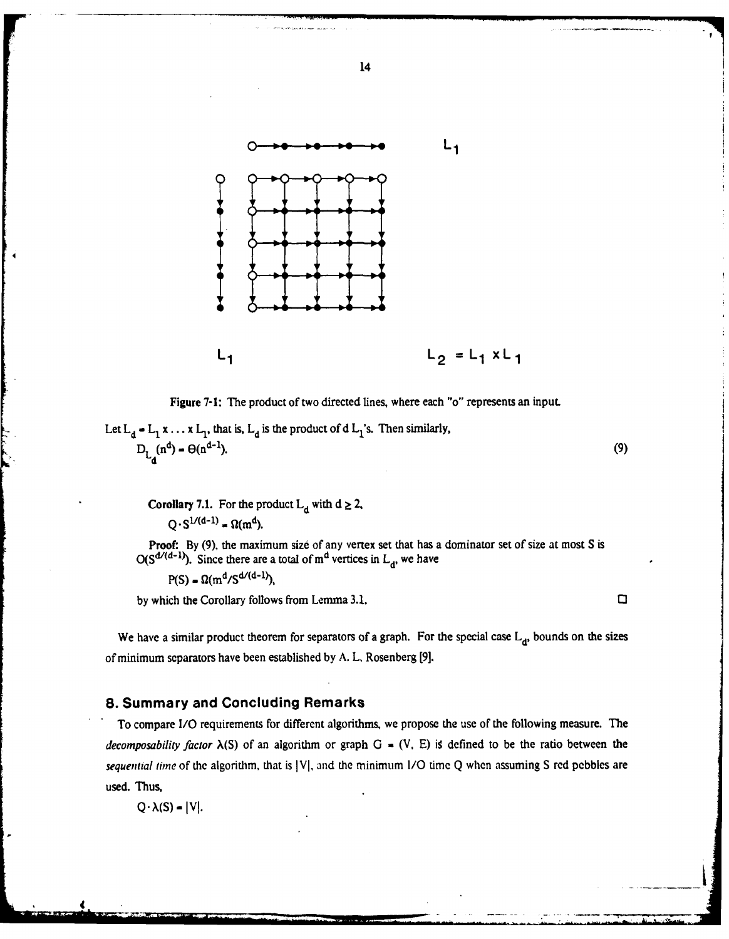

14

**7**

**!**

Figure **7-1: The** product of two directed lines, where each "o" represents an input.

Let  $L_d$  =  $L_1$  x ... x  $L_1$ , that is,  $L_d$  is the product of d  $L_1$ 's. Then similarly,  $D_{L_d}(n^d) - \Theta(n^{d-1}).$  (9)

**Corollary 7.1.** For the product  $L_d$  with  $d \ge 2$ ,  $Q \cdot S^{1/(d-1)} = \Omega(m^d)$ .

Proof: **By (9),** the maximum size of any vertex set that has a dominator set of size at most S is  $O(S^{d/(d-1)})$ . Since there are a total of  $m^d$  vertices in  $L_d$ , we have

$$
P(S) = \Omega(m^d/S^{d/(d-1)}),
$$

**by** which the Corollary follows from Lemma 3.1. **03**

We have a similar product theorem for separators of a graph. For the special case  $L_d$ , bounds on the sizes of minimum separators have been established by A. L. Rosenberg **[9].**

#### **8.** Summary and Concluding Remarks

To compare *1/O* requirements for different algorithms, we propose the use of the following measure. The *decomposability factor*  $\lambda(S)$  of an algorithm or graph G = (V, E) is defined to be the ratio between the *sequential time* of the algorithm, that is |V|, and the minimum I/O time Q when assuming S red pebbles are used. Thus,

 $Q \cdot \lambda(S) = |V|.$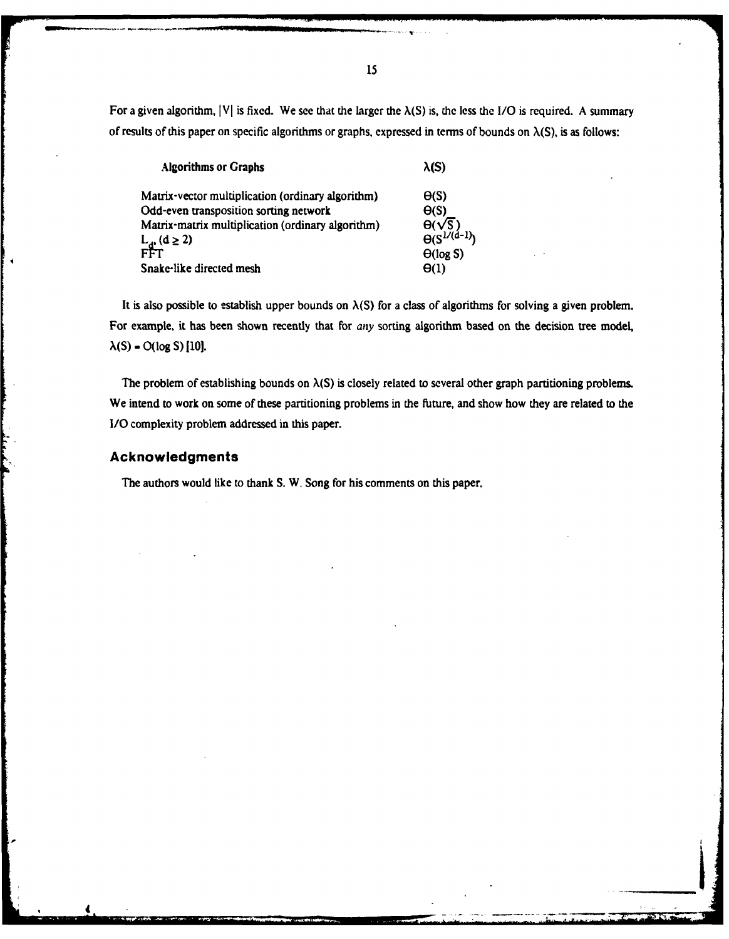For a given algorithm,  $|V|$  is fixed. We see that the larger the  $\lambda(S)$  is, the less the I/O is required. A summary of results of this paper on specific algorithms or graphs, expressed in terms of bounds on  $\lambda(S)$ , is as follows:

| <b>Algorithms or Graphs</b>                       | $\lambda(S)$                                |
|---------------------------------------------------|---------------------------------------------|
| Matrix-vector multiplication (ordinary algorithm) | $\Theta(S)$                                 |
| Odd-even transposition sorting network            | $\Theta(S)$                                 |
| Matrix-matrix multiplication (ordinary algorithm) |                                             |
| L <sub>g:</sub> (d ≥ 2)<br>FFT                    | $\theta(\sqrt{S})$<br>$\theta(S^{1/(d-1)})$ |
|                                                   | $\Theta(\log S)$                            |
| Snake-like directed mesh                          | $\Theta(1)$                                 |
|                                                   |                                             |

It is also possible to establish upper bounds on  $\lambda(S)$  for a class of algorithms for solving a given problem. For example, it has been shown recently that for any sorting algorithm based on the decision tree model, **A(S) - O(log S) ILO.**

The problem of establishing bounds on  $\lambda(S)$  is closely related to several other graph partitioning problems. We intend to work on some of these partitioning problems in the future, and show how they are related to the **I/0** complexity problem addressed in this paper.

\_\_\_V

#### **Acknowledgments**

The authors would like to thank **S.** W. Song for his comments on this paper.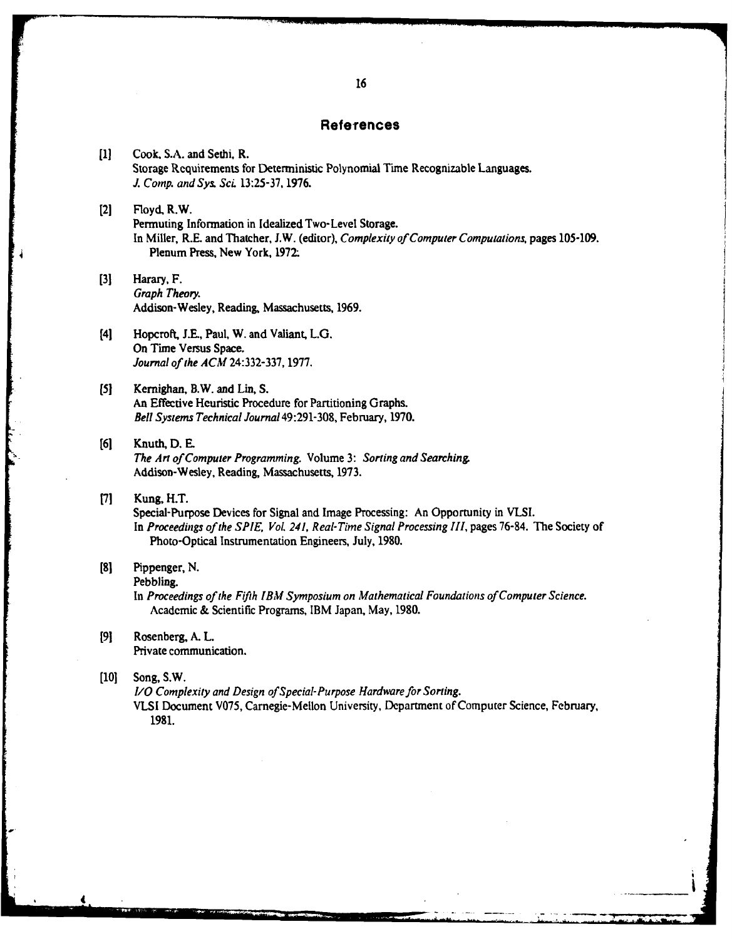#### **References**

**[11** Cook, S.A. and Sethi, R. Storage Requirements for Deterministic Polynomial Time Recognizable Languages. *J. Comp. and Sys. ScL* **13:25-37, 1976.**

#### <sup>121</sup>**Floyd.** R.W. Permuting Information in Idealized Two-Level Storage. In Miller, R.E. and Thatcher, **J.W.** (editor), *Complexity of Computer Computations,* pages **105-109.** Plenum Press, New York, **1972-**

- **[31** Harary, F. *Graph Theory.* Addison-Wesley, Reading, Massachusetts, **1969.**
- [4] Hopcroft, J.E., Paul, W. and Valiant, L.G. On Time Versus Space. *Journal of the ACM* **24:332-337, 1977.**
- **(5]** Kernighan, B.W. and Lin, **S.** An Effective Heuristic Procedure for Partitioning Graphs. *Bell Systems Technical Journal* 49:291-308, February, **1970.**
- **[61** Knuth, **D. E.** *The Art of Computer Programming.* Volume **3:** *Sorting and Searching.* Addison-Wesley, Reading, Massachusetts, **1973.**

### **[71** Kung, H.T.

Special-Purpose Devices for Signal and Image Processing: An Opportunity in **VLSI.** In *Proceedings of the SPIE, Vol. 241, Real-Time Signal Processing III,* pages **76-84.** The Society of Photo-Optical Instrumentation Engineers, July, **1980.**

#### **[81** Pippenger, **N.**

Pebbling.

In *Proceedings of the Fifth IBM Symposium on Mathematical Foundations of Computer Science.* Academic **&** Scientific Programs, IBM Japan, May, **1980.**

**[91** Rosenberg, **A.** L. Private communication.

#### **[101** Song, S.W.

*1/O Complexity and Design of Special-Purpose Hardware for Sorting.* VLSI Document V075, Carnegie-Mellon University, Department of Computer Science, February, **1981.**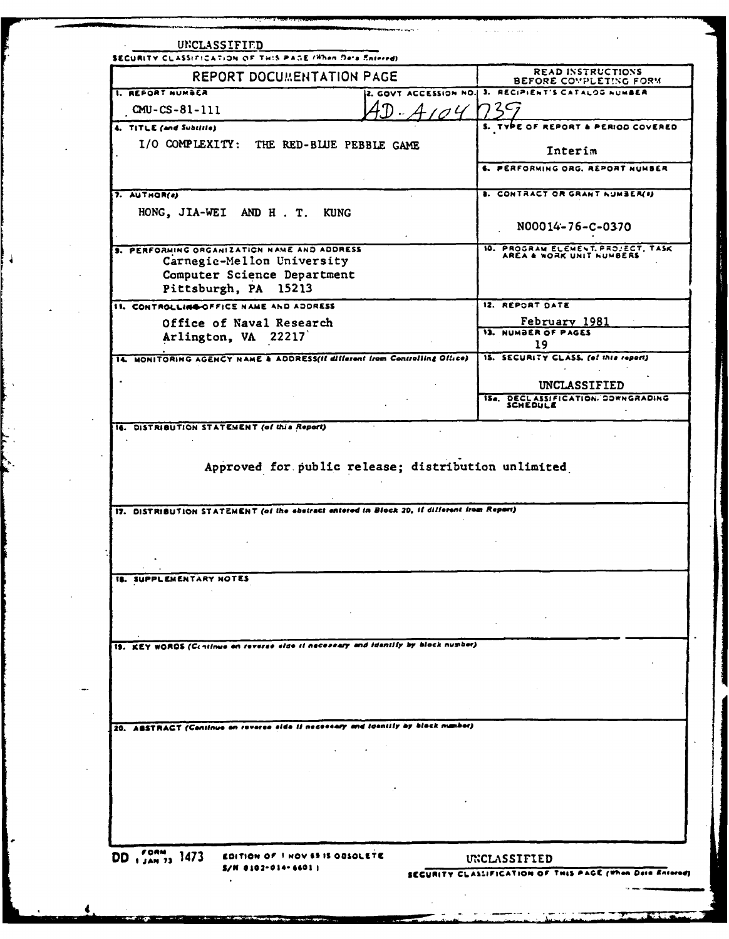| <b>REPORT DOCUMENTATION PAGE</b>                                                           | READ INSTRUCTIONS                                                             |
|--------------------------------------------------------------------------------------------|-------------------------------------------------------------------------------|
| I. REFORT NUMBER                                                                           | BEFORE COMPLETING FORM<br>2. GOVT ACCESSION NO. 3. RECIPIENT'S CATALOG NUMBER |
| $CMU - CS - 81 - 111$<br>104                                                               | $2C_2$                                                                        |
| 4. TITLE (and Subtitle)                                                                    | S. TYPE OF REPORT & PERIOD COVERED                                            |
| I/O COMPLEXITY: THE RED-BLUE PEBBLE GAME                                                   |                                                                               |
|                                                                                            | Interim                                                                       |
|                                                                                            | 6. PERFORMING ORG. REPORT NUMBER                                              |
| 7. AUTHOR(e)                                                                               | <b>8. CONTRACT OR GRANT NUMBER(0)</b>                                         |
| HONG, JIA-WEI AND H. T. KUNG                                                               |                                                                               |
|                                                                                            | N00014-76-C-0370                                                              |
| 9. PERFORMING ORGANIZATION NAME AND ADDRESS                                                | 10. PROGRAM ELEMENT, PROJECT, TASK AREA & WORK UNIT NUMBERS                   |
| Carnegie-Mellon University                                                                 |                                                                               |
| Computer Science Department<br>Pittsburgh, PA 15213                                        |                                                                               |
| 11. CONTROLLING OFFICE NAME AND ADDRESS                                                    | 12. REPORT DATE                                                               |
| Office of Naval Research                                                                   | February 1981                                                                 |
| Arlington, VA 22217                                                                        | 13. NUMBER OF PAGES                                                           |
|                                                                                            | 19<br>15. SECURITY CLASS. (of this report)                                    |
| 14. MONITORING AGENCY NAME & ADDRESS(If different from Controlling Office)                 |                                                                               |
|                                                                                            | UNCLASSIFIED                                                                  |
|                                                                                            | ISA. DECLASSIFICATION. COWNGRADING<br>SCHEDULE                                |
| Approved for public release; distribution unlimited                                        |                                                                               |
| 17. DISTRIBUTION STATEMENT (of the abstract entered in Block 20, if different from Report) |                                                                               |
| <b>IB. SUPPLEMENTARY NOTES</b>                                                             |                                                                               |
|                                                                                            |                                                                               |
|                                                                                            |                                                                               |
|                                                                                            |                                                                               |
|                                                                                            |                                                                               |
| 19. KEY WORDS (Centinue on reverse size it necessary and identify by block number)         |                                                                               |
|                                                                                            |                                                                               |
|                                                                                            |                                                                               |
|                                                                                            |                                                                               |
| 20. ABSTRACT (Continue on reverse side Il necessary and identify by block number)          |                                                                               |
|                                                                                            |                                                                               |
|                                                                                            |                                                                               |
|                                                                                            |                                                                               |
|                                                                                            |                                                                               |
|                                                                                            |                                                                               |
|                                                                                            |                                                                               |
| DD 1 JAN 73 1473<br>EDITION OF I HOV 65 IS OBSOLETE                                        | UNCLASSIFIED                                                                  |

 $\sim$ 

 $\ddot{\phantom{1}}$